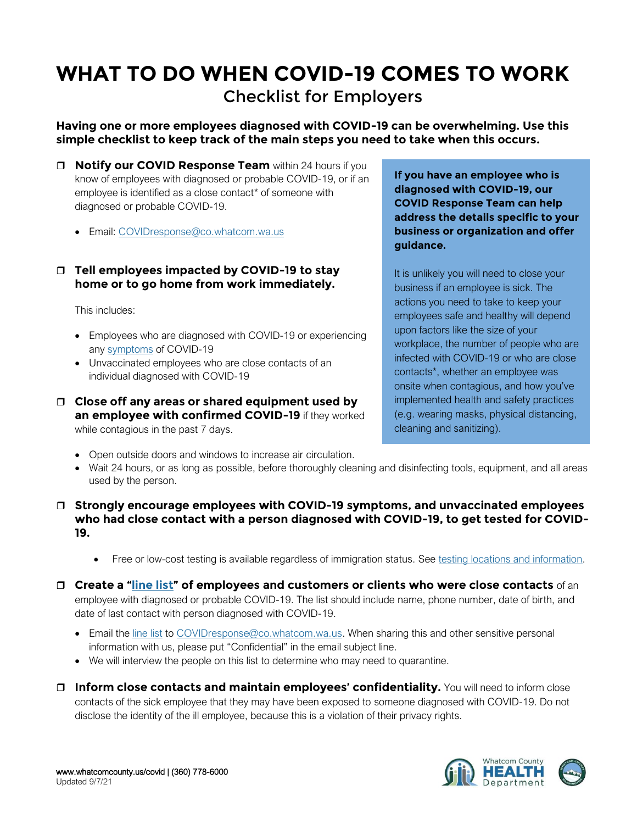## **WHAT TO DO WHEN COVID-19 COMES TO WORK** Checklist for Employers

**Having one or more employees diagnosed with COVID-19 can be overwhelming. Use this simple checklist to keep track of the main steps you need to take when this occurs.**

- **Notify our COVID Response Team** within 24 hours if you know of employees with diagnosed or probable COVID-19, or if an employee is identified as a close contact\* of someone with diagnosed or probable COVID-19.
	- Email: [COVIDresponse@co.whatcom.wa.us](mailto:COVIDResponse@co.whatcom.wa.us)

## **Tell employees impacted by COVID-19 to stay home or to go home from work immediately.**

This includes:

- Employees who are diagnosed with COVID-19 or experiencing any [symptoms](https://www.cdc.gov/coronavirus/2019-ncov/symptoms-testing/symptoms.html?CDC_AA_refVal=https%3A%2F%2Fwww.cdc.gov%2Fcoronavirus%2F2019-ncov%2Fabout%2Fsymptoms.html) of COVID-19
- Unvaccinated employees who are close contacts of an individual diagnosed with COVID-19
- **Close off any areas or shared equipment used by an employee with confirmed COVID-19** if they worked while contagious in the past 7 days.

**If you have an employee who is diagnosed with COVID-19, our COVID Response Team can help address the details specific to your business or organization and offer guidance.**

It is unlikely you will need to close your business if an employee is sick. The actions you need to take to keep your employees safe and healthy will depend upon factors like the size of your workplace, the number of people who are infected with COVID-19 or who are close contacts\*, whether an employee was onsite when contagious, and how you've implemented health and safety practices (e.g. wearing masks, physical distancing, cleaning and sanitizing).

- Open outside doors and windows to increase air circulation.
- Wait 24 hours, or as long as possible, before thoroughly cleaning and disinfecting tools, equipment, and all areas used by the person.
- **Strongly encourage employees with COVID-19 symptoms, and unvaccinated employees who had close contact with a person diagnosed with COVID-19, to get tested for COVID-19.**
	- Free or low-cost testing is available regardless of immigration status. See [testing locations and information.](https://whatcomcounty.us/3388/)
- **Create a "[line list](https://www.whatcomcounty.us/DocumentCenter/View/52629/)" of employees and customers or clients who were close contacts** of an employee with diagnosed or probable COVID-19. The list should include name, phone number, date of birth, and date of last contact with person diagnosed with COVID-19.
	- Email the [line list](https://www.whatcomcounty.us/DocumentCenter/View/52629/) to [COVIDresponse@co.whatcom.wa.us.](mailto:COVIDResponse@co.whatcom.wa.us) When sharing this and other sensitive personal information with us, please put "Confidential" in the email subject line.
	- We will interview the people on this list to determine who may need to quarantine.
- **Inform close contacts and maintain employees' confidentiality.** You will need to inform close contacts of the sick employee that they may have been exposed to someone diagnosed with COVID-19. Do not disclose the identity of the ill employee, because this is a violation of their privacy rights.